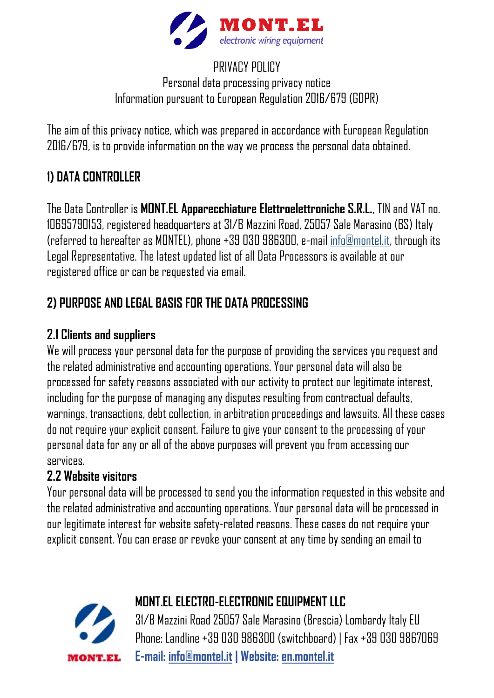

### PRIVACY POLICY Personal data processing privacy notice Information pursuant to European Regulation 2016/679 (GDPR)

The aim of this privacy notice, which was prepared in accordance with European Regulation 2016/679, is to provide information on the way we process the personal data obtained.

# **1) DATA CONTROLLER**

The Data Controller is **MONT.EL Apparecchiature Elettroelettroniche S.R.L.**, TIN and VAT no. 10695790153, registered headquarters at 31/B Mazzini Road, 25057 Sale Marasino (BS) Italy (referred to hereafter as MONTEL), phone +39 030 986300, e-mail [info@montel.it,](mailto:info@montel.it) through its Legal Representative. The latest updated list of all Data Processors is available at our registered office or can be requested via email.

# **2) PURPOSE AND LEGAL BASIS FOR THE DATA PROCESSING**

### **2.1 Clients and suppliers**

We will process your personal data for the purpose of providing the services you request and the related administrative and accounting operations. Your personal data will also be processed for safety reasons associated with our activity to protect our legitimate interest, including for the purpose of managing any disputes resulting from contractual defaults, warnings, transactions, debt collection, in arbitration proceedings and lawsuits. All these cases do not require your explicit consent. Failure to give your consent to the processing of your personal data for any or all of the above purposes will prevent you from accessing our services.

### **2.2 Website visitors**

Your personal data will be processed to send you the information requested in this website and the related administrative and accounting operations. Your personal data will be processed in our legitimate interest for website safety-related reasons. These cases do not require your explicit consent. You can erase or revoke your consent at any time by sending an email to



### **MONT.EL ELECTRO-ELECTRONIC EQUIPMENT LLC**

31/B Mazzini Road 25057 Sale Marasino (Brescia) Lombardy Italy EU Phone: Landline +39 030 986300 (switchboard) | Fax +39 030 9867069 **E-mail: [info@montel.it](mailto:info@montel.it) | Website: [en.montel.it](https://en.montel.it/)**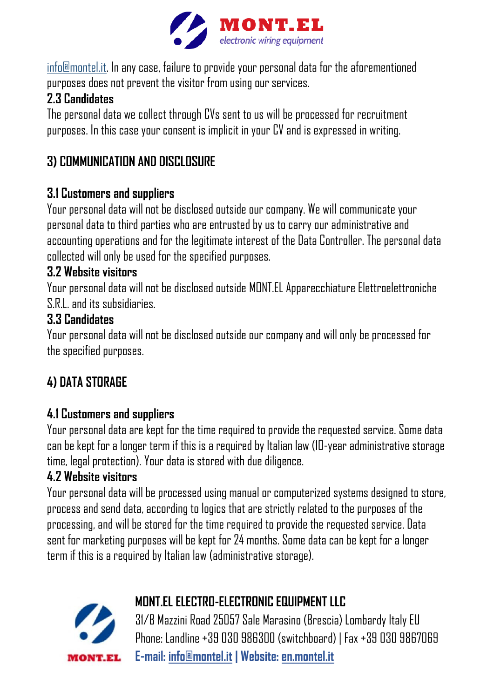

[info@montel.it.](mailto:info@montel.it) In any case, failure to provide your personal data for the aforementioned purposes does not prevent the visitor from using our services.

# **2.3 Candidates**

The personal data we collect through CVs sent to us will be processed for recruitment purposes. In this case your consent is implicit in your CV and is expressed in writing.

# **3) COMMUNICATION AND DISCLOSURE**

## **3.1 Customers and suppliers**

Your personal data will not be disclosed outside our company. We will communicate your personal data to third parties who are entrusted by us to carry our administrative and accounting operations and for the legitimate interest of the Data Controller. The personal data collected will only be used for the specified purposes.

### **3.2 Website visitors**

Your personal data will not be disclosed outside MONT.EL Apparecchiature Elettroelettroniche S.R.L. and its subsidiaries.

### **3.3 Candidates**

Your personal data will not be disclosed outside our company and will only be processed for the specified purposes.

# **4) DATA STORAGE**

## **4.1 Customers and suppliers**

Your personal data are kept for the time required to provide the requested service. Some data can be kept for a longer term if this is a required by Italian law (10-year administrative storage time, legal protection). Your data is stored with due diligence.

## **4.2 Website visitors**

Your personal data will be processed using manual or computerized systems designed to store, process and send data, according to logics that are strictly related to the purposes of the processing, and will be stored for the time required to provide the requested service. Data sent for marketing purposes will be kept for 24 months. Some data can be kept for a longer term if this is a required by Italian law (administrative storage).



# **MONT.EL ELECTRO-ELECTRONIC EQUIPMENT LLC**

31/B Mazzini Road 25057 Sale Marasino (Brescia) Lombardy Italy EU Phone: Landline +39 030 986300 (switchboard) | Fax +39 030 9867069 **E-mail: [info@montel.it](mailto:info@montel.it) | Website: [en.montel.it](https://en.montel.it/)**